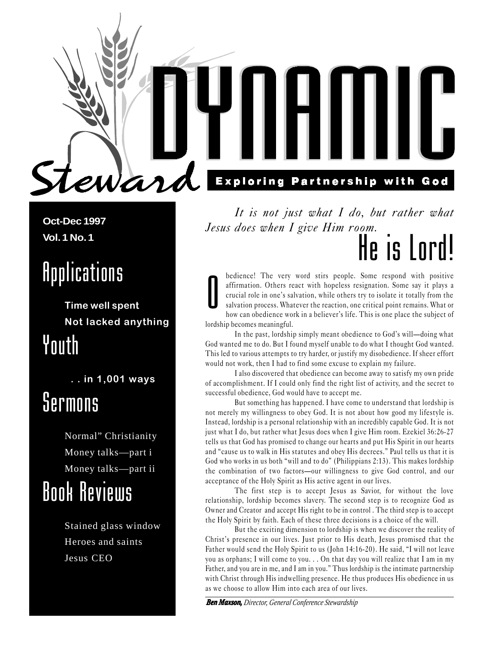**Oct-Dec 1997 Vol. 1 No. 1**

### Applications

Time well spent Not lacked anything Youth

eward

. . . in 1,001 ways

### *<u>Sermons</u>*

Normal" Christianity Money talks—part i Money talks—part ii Book Reviews

### Stained glass window Heroes and saints Jesus CEO

It is not just what I do, but rather what Jesus does when I give Him room.

**Exploring Partnership with God** 

# He is Lord!

bedience! The very word stirs people. Some respond with positive affirmation. Others react with hopeless resignation. Some say it plays a crucial role in one's salvation, while others try to isolate it totally from the salvation process. Whatever the reaction, one critical point remains. What or how can obedience work in a believer's life. This is one place the subject of lordship becomes meaningful. O

In the past, lordship simply meant obedience to God's will—doing what God wanted me to do. But I found myself unable to do what I thought God wanted. This led to various attempts to try harder, or justify my disobedience. If sheer effort would not work, then I had to find some excuse to explain my failure.

I also discovered that obedience can become away to satisfy my own pride of accomplishment. If I could only find the right list of activity, and the secret to successful obedience, God would have to accept me.

But something has happened. I have come to understand that lordship is not merely my willingness to obey God. It is not about how good my lifestyle is. Instead, lordship is a personal relationship with an incredibly capable God. It is not just what I do, but rather what Jesus does when I give Him room. Ezekiel 36:26-27 tells us that God has promised to change our hearts and put His Spirit in our hearts and "cause us to walk in His statutes and obey His decrees." Paul tells us that it is God who works in us both "will and to do" (Philippians 2:13). This makes lordship the combination of two factors-our willingness to give God control, and our acceptance of the Holy Spirit as His active agent in our lives.

The first step is to accept Jesus as Savior, for without the love relationship, lordship becomes slavery. The second step is to recognize God as Owner and Creator and accept His right to be in control . The third step is to accept the Holy Spirit by faith. Each of these three decisions is a choice of the will.

But the exciting dimension to lordship is when we discover the reality of Christ's presence in our lives. Just prior to His death, Jesus promised that the Father would send the Holy Spirit to us (John 14:16-20). He said, "I will not leave you as orphans; I will come to you. . . On that day you will realize that I am in my Father, and you are in me, and I am in you." Thus lordship is the intimate partnership with Christ through His indwelling presence. He thus produces His obedience in us as we choose to allow Him into each area of our lives.

*Ben Maxson, Maxson, Director, General Conference Stewardship*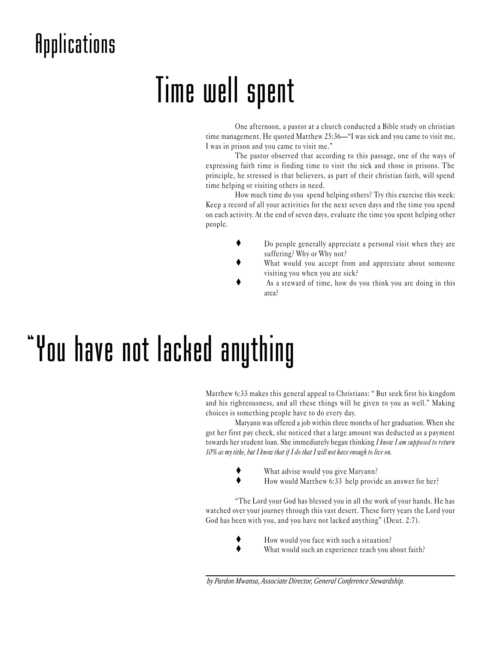## Applications

## Time well spent

One afternoon, a pastor at a church conducted a Bible study on christian time management. He quoted Matthew 25:36—"I was sick and you came to visit me, I was in prison and you came to visit me.

The pastor observed that according to this passage, one of the ways of expressing faith time is finding time to visit the sick and those in prisons. The principle, he stressed is that believers, as part of their christian faith, will spend time helping or visiting others in need.

How much time do you spend helping others? Try this exercise this week: Keep a record of all your activities for the next seven days and the time you spend on each activity. At the end of seven days, evaluate the time you spent helping other people.

- Do people generally appreciate a personal visit when they are suffering? Why or Why not?
- What would you accept from and appreciate about someone visiting you when you are sick?
- As a steward of time, how do you think you are doing in this area?

## You have not lacked anything

Matthew 6:33 makes this general appeal to Christians: "But seek first his kingdom and his righteousness, and all these things will be given to you as well." Making choices is something people have to do every day.

Maryann was offered a job within three months of her graduation. When she got her first pay check, she noticed that a large amount was deducted as a payment towards her student loan. She immediately began thinking I know I am supposed to return 10% as my tithe, but I know that if I do that I will not have enough to live on.

- ♦ What advise would you give Maryann?
- How would Matthew 6:33 help provide an answer for her?

The Lord your God has blessed you in all the work of your hands. He has watched over your journey through this vast desert. These forty years the Lord your God has been with you, and you have not lacked anything" (Deut. 2:7).

- How would you face with such a situation?
- What would such an experience teach you about faith?

*by Pardon Mwansa, Associate Director, General Conference Stewardship.*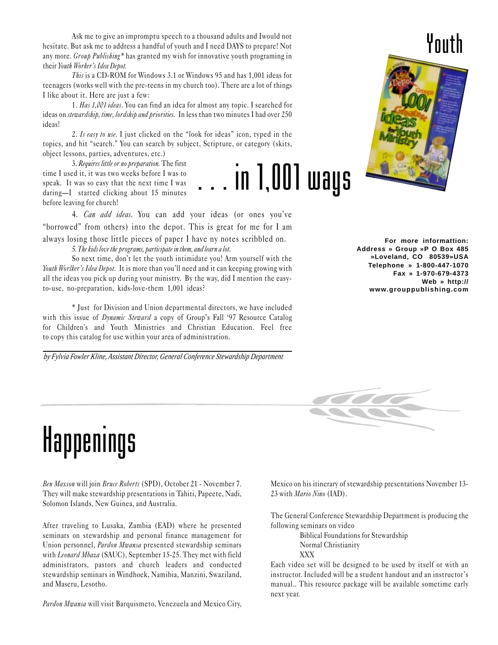Ask me to give an impromptu speech to a thousand adults and Iwould not hesitate. But ask me to address a handful of youth and I need DAYS to prepare! Not any more. Group Publishing\* has granted my wish for innovative youth programing in their Youth Worker's Idea Depot.

This is a CD-ROM for Windows 3.1 or Windows 95 and has 1,001 ideas for teenagers (works well with the pre-teens in my church too). There are a lot of things I like about it. Here are just a few:

1. Has 1,001 ideas. You can find an idea for almost any topic. I searched for ideas on stewardship, time, lordship and priorities. In less than two minutes I had over 250 ideas!

2. Is easy to use. I just clicked on the "look for ideas" icon, typed in the topics, and hit "search." You can search by subject, Scripture, or category (skits, object lessons, parties, adventures, etc.)

 $\overline{\phantom{a}}$  in 1,001 ways

3. Requires little or no preparation. The first time I used it, it was two weeks before I was to speak. It was so easy that the next time I was daring-I started clicking about 15 minutes before leaving for church!

4. Can add ideas. You can add your ideas (or ones you've "borrowed" from others) into the depot. This is great for me for I am always losing those little pieces of paper I have ny notes scribbled on.

5. The kids love the programs, participate in them, and learn a lot.

So next time, don't let the youth intimidate you! Arm yourself with the Youth Worlker's Idea Depot. It is more than you'll need and it can keeping growing with all the ideas you pick up during your ministry. By the way, did I mention the easyto-use, no-preparation, kids-love-them 1,001 ideas?

\* Just for Division and Union departmental directors, we have included with this issue of  $Dynamic$  Steward a copy of Group's Fall '97 Resource Catalog for Children's and Youth Ministries and Christian Education. Feel free to copy this catalog for use within your area of administration.

*by Fylvia Fowler Kline, Assistant Director, General Conference Stewardship Department*



**For more informattion: Address » Group »P O Box 485 »Loveland, CO 80539»USA Telephone » 1-800-447-1070 Fax » 1-970-679-4373 Web » http:// www.grouppublishing.com**



## Happenings

Ben Maxson will join Bruce Roberts (SPD), October 21 - November 7. They will make stewardship presentations in Tahiti, Papeete, Nadi, Solomon Islands, New Guinea, and Australia.

After traveling to Lusaka, Zambia (EAD) where he presented seminars on stewardship and personal finance management for Union personnel, Pardon Mwansa presented stewardship seminars with Leonard Mbaza (SAUC), September 15-25. They met with field administrators, pastors and church leaders and conducted stewardship seminars in Windhoek, Namibia, Manzini, Swaziland, and Maseru, Lesotho.

Pardon Mwansa will visit Barquismeto, Venezuela and Mexico City,

Mexico on his itinerary of stewardship presentations November 13- 23 with Mario Nino (IAD).

The General Conference Stewardship Department is producing the following seminars on video

> Biblical Foundations for Stewardship Normal Christianity XXX

Each video set will be designed to be used by itself or with an instructor. Included will be a student handout and an instructor's manual.. This resource package will be available sometime early next year.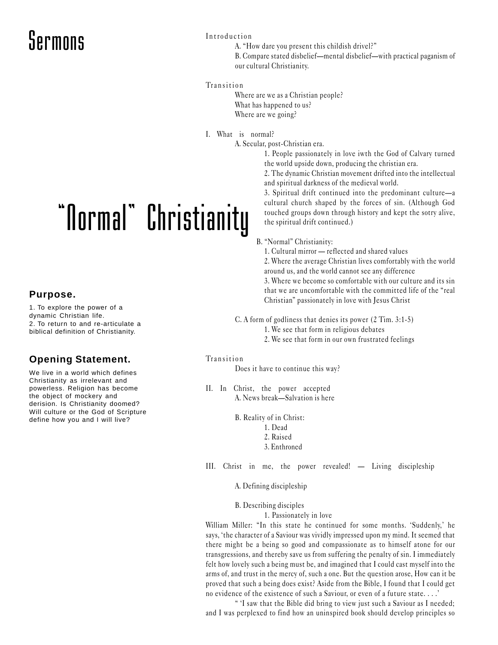## Sermons

#### Introduction

A. "How dare you present this childish drivel?"

B. Compare stated disbelief—mental disbelief—with practical paganism of our cultural Christianity.

#### **Transition**

Where are we as a Christian people? What has happened to us? Where are we going?

#### I. What is normal?

A. Secular, post-Christian era.

1. People passionately in love iwth the God of Calvary turned the world upside down, producing the christian era.

2. The dynamic Christian movement drifted into the intellectual and spiritual darkness of the medieval world.

3. Spiritual drift continued into the predominant culture-a cultural church shaped by the forces of sin. (Although God touched groups down through history and kept the sotry alive, the spiritual drift continued.)

# "Normal" Christianity

#### **Purpose.**

1. To explore the power of a dynamic Christian life. 2. To return to and re-articulate a biblical definition of Christianity.

### **Opening Statement.**

We live in a world which defines Christianity as irrelevant and powerless. Religion has become the object of mockery and derision. Is Christianity doomed? Will culture or the God of Scripture define how you and I will live?

B. "Normal" Christianity:

1. Cultural mirror - reflected and shared values

2. Where the average Christian lives comfortably with the world around us, and the world cannot see any difference

3. Where we become so comfortable with our culture and its sin that we are uncomfortable with the committed life of the "real Christian" passionately in love with Jesus Christ

C. A form of godliness that denies its power (2 Tim. 3:1-5)

1. We see that form in religious debates

2. We see that form in our own frustrated feelings

#### **Transition**

Does it have to continue this way?

II. In Christ, the power accepted A. News break—Salvation is here

B. Reality of in Christ:

1. Dead 2. Raised

3. Enthroned

III. Christ in me, the power revealed! Living discipleship

#### A. Defining discipleship

#### B. Describing disciples

1. Passionately in love

William Miller: "In this state he continued for some months. 'Suddenly,' he says, the character of a Saviour was vividly impressed upon my mind. It seemed that there might be a being so good and compassionate as to himself atone for our transgressions, and thereby save us from suffering the penalty of sin. I immediately felt how lovely such a being must be, and imagined that I could cast myself into the arms of, and trust in the mercy of, such a one. But the question arose, How can it be proved that such a being does exist? Aside from the Bible, I found that I could get no evidence of the existence of such a Saviour, or even of a future state. . . .

 I saw that the Bible did bring to view just such a Saviour as I needed; and I was perplexed to find how an uninspired book should develop principles so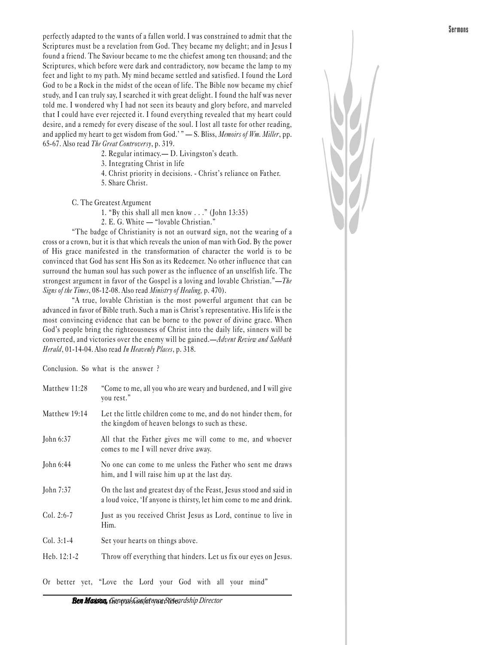perfectly adapted to the wants of a fallen world. I was constrained to admit that the Scriptures must be a revelation from God. They became my delight; and in Jesus I found a friend. The Saviour became to me the chiefest among ten thousand; and the Scriptures, which before were dark and contradictory, now became the lamp to my feet and light to my path. My mind became settled and satisfied. I found the Lord God to be a Rock in the midst of the ocean of life. The Bible now became my chief study, and I can truly say, I searched it with great delight. I found the half was never told me. I wondered why I had not seen its beauty and glory before, and marveled that I could have ever rejected it. I found everything revealed that my heart could desire, and a remedy for every disease of the soul. I lost all taste for other reading, and applied my heart to get wisdom from God.' " $-S$ . Bliss, *Memoirs of Wm. Miller*, pp. 65-67. Also read The Great Controversy, p. 319.

2. Regular intimacy.  $-D$ . Livingston's death.

3. Integrating Christ in life

4. Christ priority in decisions. - Christ's reliance on Father.

5. Share Christ.

C. The Greatest Argument

1. "By this shall all men know  $\ldots$ " (John 13:35)

2. E. G. White - "lovable Christian."

The badge of Christianity is not an outward sign, not the wearing of a cross or a crown, but it is that which reveals the union of man with God. By the power of His grace manifested in the transformation of character the world is to be convinced that God has sent His Son as its Redeemer. No other influence that can surround the human soul has such power as the influence of an unselfish life. The strongest argument in favor of the Gospel is a loving and lovable Christian." $\frac{-Th}{e}$ Signs of the Times, 08-12-08. Also read Ministry of Healing, p. 470).

A true, lovable Christian is the most powerful argument that can be advanced in favor of Bible truth. Such a man is Christ's representative. His life is the most convincing evidence that can be borne to the power of divine grace. When God's people bring the righteousness of Christ into the daily life, sinners will be converted, and victories over the enemy will be gained.—Advent Review and Sabbath Herald, 01-14-04. Also read In Heavenly Places, p. 318.

Conclusion. So what is the answer ?

| Matthew 11:28 | "Come to me, all you who are weary and burdened, and I will give<br>you rest."                                                           |
|---------------|------------------------------------------------------------------------------------------------------------------------------------------|
| Matthew 19:14 | Let the little children come to me, and do not hinder them, for<br>the kingdom of heaven belongs to such as these.                       |
| John 6:37     | All that the Father gives me will come to me, and whoever<br>comes to me I will never drive away.                                        |
| John 6:44     | No one can come to me unless the Father who sent me draws<br>him, and I will raise him up at the last day.                               |
| John 7:37     | On the last and greatest day of the Feast, Jesus stood and said in<br>a loud voice, 'If anyone is thirsty, let him come to me and drink. |
| Col. $2:6-7$  | Just as you received Christ Jesus as Lord, continue to live in<br>Him.                                                                   |
| $Col. 3:1-4$  | Set your hearts on things above.                                                                                                         |
| Heb. 12:1-2   | Throw off everything that hinders. Let us fix our eyes on Jesus.                                                                         |

Or better yet, "Love the Lord your God with all your mind"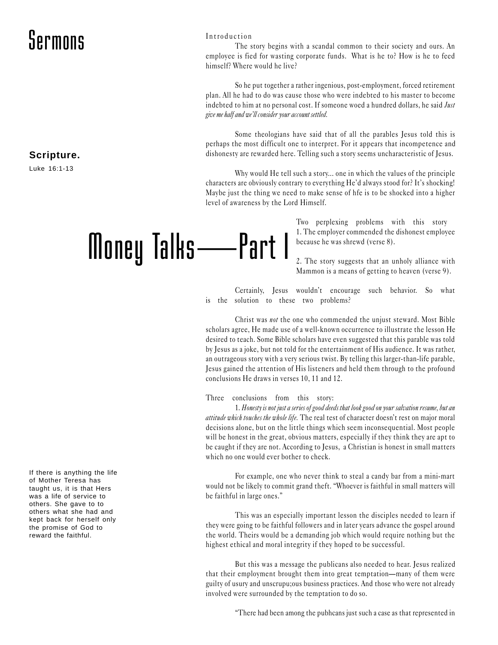### Sermons

#### Introduction

Money Talks -Part I

The story begins with a scandal common to their society and ours. An employee is fied for wasting corporate funds. What is he to? How is he to feed himself? Where would he live?

So he put together a rather ingenious, post-employment, forced retirement plan. All he had to do was cause those who were indebted to his master to become indebted to him at no personal cost. If someone woed a hundred dollars, he said Just give me half and we'll consider your account settled.

Some theologians have said that of all the parables Jesus told this is perhaps the most difficult one to interpret. For it appears that incompetence and dishonesty are rewarded here. Telling such a story seems uncharacteristic of Jesus.

Why would He tell such a story... one in which the values of the principle characters are obviously contrary to everything He'd always stood for? It's shocking! Maybe just the thing we need to make sense of hfe is to be shocked into a higher level of awareness by the Lord Himself.

> Two perplexing problems with this story 1. The employer commended the dishonest employee because he was shrewd (verse 8).

> 2. The story suggests that an unholy alliance with Mammon is a means of getting to heaven (verse 9).

Certainly, Jesus wouldn't encourage such behavior. So what is the solution to these two problems?

Christ was not the one who commended the unjust steward. Most Bible scholars agree, He made use of a well-known occurrence to illustrate the lesson He desired to teach. Some Bible scholars have even suggested that this parable was told by Jesus as a joke, but not told for the entertainment of His audience. It was rather, an outrageous story with a very serious twist. By telling this larger-than-life parable, Jesus gained the attention of His listeners and held them through to the profound conclusions He draws in verses 10, 11 and 12.

#### Three conclusions from this story:

1. Honesty is not just a series of good deeds that look good on your salvation resume, but an attitude which touches the whole life. The real test of character doesn't rest on major moral decisions alone, but on the little things which seem inconsequential. Most people will be honest in the great, obvious matters, especially if they think they are apt to be caught if they are not. According to Jesus, a Christian is honest in small matters which no one would ever bother to check.

For example, one who never think to steal a candy bar from a mini-mart would not be likely to commit grand theft. Whoever is faithful in small matters will be faithful in large ones.

This was an especially important lesson the disciples needed to learn if they were going to be faithful followers and in later years advance the gospel around the world. Theirs would be a demanding job which would require nothing but the highest ethical and moral integrity if they hoped to be successful.

But this was a message the publicans also needed to hear. Jesus realized that their employment brought them into great temptation—many of them were guilty of usury and unscrupu;ous business practices. And those who were not already involved were surrounded by the temptation to do so.

There had been among the pubhcans just such a case as that represented in

If there is anything the life of Mother Teresa has taught us, it is that Hers was a life of service to others. She gave to to others what she had and kept back for herself only the promise of God to reward the faithful.

#### **Scripture.**

Luke 16:1-13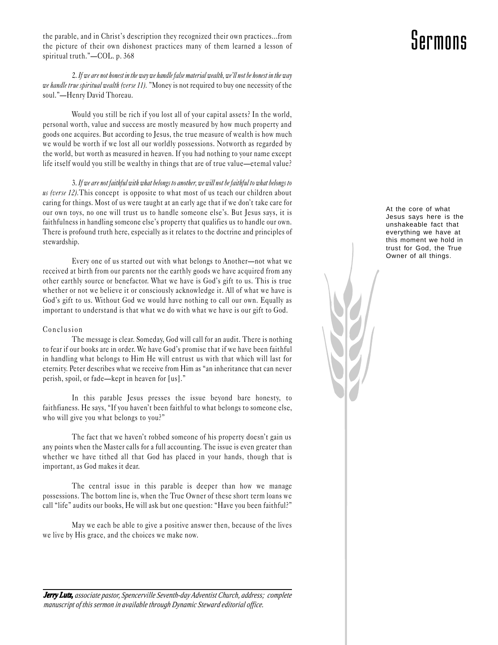the parable, and in Christ's description they recognized their own practices...from<br>the picture of their own dishonest practices many of them learned a lesson of<br>existing truth " COL a 200 spiritual truth."-COL. p. 368

2. If we are not honest in the way we handle false material wealth, we'll not be honest in the way we handle true spiritual wealth (verse 11). "Money is not required to buy one necessity of the soul."-Henry David Thoreau.

Would you still be rich if you lost all of your capital assets? In the world, personal worth, value and success are mostly measured by how much property and goods one acquires. But according to Jesus, the true measure of wealth is how much we would be worth if we lost all our worldly possessions. Notworth as regarded by the world, but worth as measured in heaven. If you had nothing to your name except life itself would you still be wealthy in things that are of true value—etemal value?

3. If we are not faithful with what belongs to another, we will not be faithful to what belongs to us (verse 12). This concept is opposite to what most of us teach our children about caring for things. Most of us were taught at an early age that if we don't take care for our own toys, no one will trust us to handle someone else's. But Jesus says, it is faithfulness in handling someone else's property that qualifies us to handle our own. There is profound truth here, especially as it relates to the doctrine and principles of stewardship.

Every one of us started out with what belongs to Another-not what we received at birth from our parents nor the earthly goods we have acquired from any other earthly source or benefactor. What we have is God's gift to us. This is true whether or not we believe it or consciously acknowledge it. All of what we have is God's gift to us. Without God we would have nothing to call our own. Equally as important to understand is that what we do with what we have is our gift to God.

#### Conclusion

The message is clear. Someday, God will call for an audit. There is nothing to fear if our books are in order. We have God's promise that if we have been faithful in handling what belongs to Him He will entrust us with that which will last for eternity. Peter describes what we receive from Him as "an inheritance that can never perish, spoil, or fade—kept in heaven for [us]."

In this parable Jesus presses the issue beyond bare honesty, to faithfianess. He says, "If you haven't been faithful to what belongs to someone else, who will give you what belongs to you?"

The fact that we haven't robbed someone of his property doesn't gain us any points when the Master calls for a full accounting. The issue is even greater than whether we have tithed all that God has placed in your hands, though that is important, as God makes it dear.

The central issue in this parable is deeper than how we manage possessions. The bottom line is, when the True Owner of these short term loans we call "life" audits our books, He will ask but one question: "Have you been faithful?"

May we each be able to give a positive answer then, because of the lives we live by His grace, and the choices we make now.

#### Jerry Lutz, associate pastor, Spencerville Seventh-day Adventist Church, address; complete *manuscript of this sermon in available through Dynamic Steward editorial office.*

At the core of what Jesus says here is the unshakeable fact that everything we have at this moment we hold in trust for God, the True Owner of all things.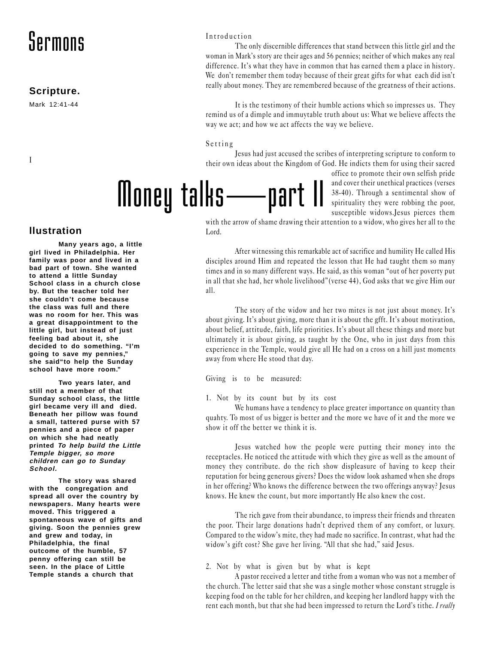### Sermons

#### **Scripture.**

Mark 12:41-44

I

#### Introduction

The only discernible differences that stand between this little girl and the woman in Mark's story are their ages and 56 pennies; neither of which makes any real difference. It's what they have in common that has earned them a place in history. We don't remember them today because of their great gifts for what each did isn't really about money. They are remembered because of the greatness of their actions.

It is the testimony of their humble actions which so impresses us. They remind us of a dimple and immuytable truth about us: What we believe affects the way we act; and how we act affects the way we believe.

#### Setting

Jesus had just accused the scribes of interpreting scripture to conform to their own ideas about the Kingdom of God. He indicts them for using their sacred



office to promote their own selfish pride and cover their unethical practices (verses 38-40). Through a sentimental show of spirituality they were robbing the poor, susceptible widows.Jesus pierces them

with the arrow of shame drawing their attention to a widow, who gives her all to the Lord.

After witnessing this remarkable act of sacrifice and humility He called His disciples around Him and repeated the lesson that He had taught them so many times and in so many different ways. He said, as this woman "out of her poverty put in all that she had, her whole livelihood" (verse 44), God asks that we give Him our all.

The story of the widow and her two mites is not just about money. It's about giving. It's about giving, more than it is about the gfft. It's about motivation, about belief, attitude, faith, life priorities. It's about all these things and more but ultimately it is about giving, as taught by the One, who in just days from this experience in the Temple, would give all He had on a cross on a hill just moments away from where He stood that day.

Giving is to be measured:

1. Not by its count but by its cost

We humans have a tendency to place greater importance on quantity than quahty. To most of us bigger is better and the more we have of it and the more we show it off the better we think it is.

Jesus watched how the people were putting their money into the receptacles. He noticed the attitude with which they give as well as the amount of money they contribute. do the rich show displeasure of having to keep their reputation for being generous givers? Does the widow look ashamed when she drops in her offering? Who knows the difference between the two offerings anyway? Jesus knows. He knew the count, but more importantly He also knew the cost.

The rich gave from their abundance, to impress their friends and threaten the poor. Their large donations hadn't deprived them of any comfort, or luxury. Compared to the widow's mite, they had made no sacrifice. In contrast, what had the widow's gift cost? She gave her living. "All that she had," said Jesus.

2. Not by what is given but by what is kept

A pastor received a letter and tithe from a woman who was not a member of the church. The letter said that she was a single mother whose constant struggle is keeping food on the table for her children, and keeping her landlord happy with the rent each month, but that she had been impressed to return the Lord's tithe. I really

#### **llustration**

**Many years ago, a little girl lived in Philadelphia. Her family was poor and lived in a bad part of town. She wanted to attend a little Sunday School class in a church close by. But the teacher told her she couldn't come because the class was full and there was no room for her. This was a great disappointment to the little girl, but instead of just feeling bad about it, she decided to do something. "I'm going to save my pennies," she said"to help the Sunday school have more room."**

**Two years later, and still not a member of that Sunday school class, the little girl became very ill and died. Beneath her pillow was found a small, tattered purse with 57 pennies and a piece of paper on which she had neatly printed To help build the Little Temple bigger, so more children can go to Sunday School.**

**The story was shared with the congregation and spread all over the country by newspapers. Many hearts were moved. This triggered a spontaneous wave of gifts and giving. Soon the pennies grew and grew and today, in Philadelphia, the final outcome of the humble, 57 penny offering can still be seen. In the place of Little Temple stands a church that**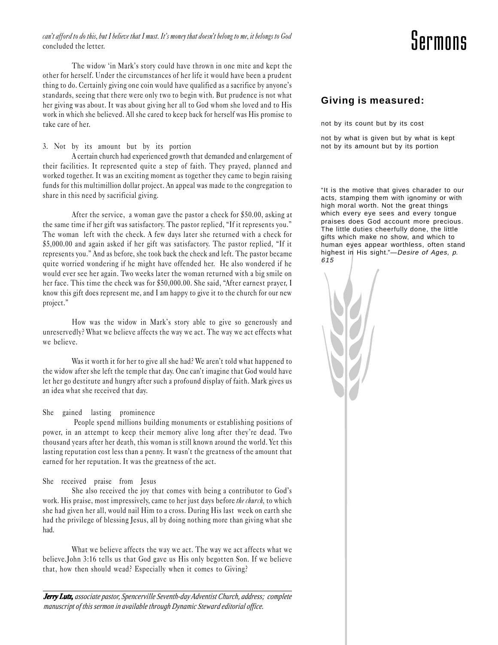can't afford to do this, but I believe that I must. It's money that doesn't belong to me, it belongs to God $\blacksquare$ concluded the letter.

The widow 'in Mark's story could have thrown in one mite and kept the other for herself. Under the circumstances of her life it would have been a prudent thing to do. Certainly giving one coin would have qualified as a sacrifice by anyone's standards, seeing that there were only two to begin with. But prudence is not what her giving was about. It was about giving her all to God whom she loved and to His work in which she believed. All she cared to keep back for herself was His promise to take care of her.

3. Not by its amount but by its portion

A certain church had experienced growth that demanded and enlargement of their facilities. It represented quite a step of faith. They prayed, planned and worked together. It was an exciting moment as together they came to begin raising funds for this multimillion dollar project. An appeal was made to the congregation to share in this need by sacrificial giving.

After the service, a woman gave the pastor a check for \$50.00, asking at the same time if her gift was satisfactory. The pastor replied, "If it represents you." The woman left with the check. A few days later she returned with a check for \$5,000.00 and again asked if her gift was satisfactory. The pastor replied, "If it represents you." And as before, she took back the check and left. The pastor became quite worried wondering if he might have offended her. He also wondered if he would ever see her again. Two weeks later the woman returned with a big smile on her face. This time the check was for \$50,000.00. She said, "After earnest prayer, I know this gift does represent me, and I am happy to give it to the church for our new project.

How was the widow in Mark's story able to give so generously and unreservedly? What we believe affects the way we act. The way we act effects what we believe.

Was it worth it for her to give all she had? We aren't told what happened to the widow after she left the temple that day. One can't imagine that God would have let her go destitute and hungry after such a profound display of faith. Mark gives us an idea what she received that day.

#### She gained lasting prominence

 People spend millions building monuments or establishing positions of power, in an attempt to keep their memory alive long after they're dead. Two thousand years after her death, this woman is still known around the world. Yet this lasting reputation cost less than a penny. It wasn't the greatness of the amount that earned for her reputation. It was the greatness of the act.

#### She received praise from Jesus

She also received the joy that comes with being a contributor to God's work. His praise, most impressively, came to her just days before *the church*, to which she had given her all, would nail Him to a cross. During His last week on earth she had the privilege of blessing Jesus, all by doing nothing more than giving what she had.

What we believe affects the way we act. The way we act affects what we believe.John 3:16 tells us that God gave us His only begotten Son. If we believe that, how then should wead? Especially when it comes to Giving?

*Jerry Lutz, y Lutz, associate pastor, Spencerville Seventh-day Adventist Church, address; complete manuscript of this sermon in available through Dynamic Steward editorial office.*

#### **Giving is measured:**

not by its count but by its cost

not by what is given but by what is kept not by its amount but by its portion

"It is the motive that gives charader to our acts, stamping them with ignominy or with high moral worth. Not the great things which every eye sees and every tongue praises does God account more precious. The little duties cheerfully done, the little gifts which make no show, and which to human eyes appear worthless, often stand highest in His sight."—Desire of Ages, p. 615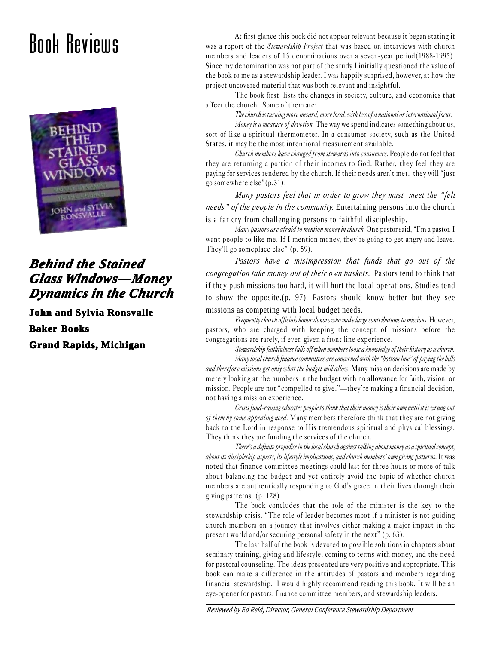

*Behind the Stained Behind the Glass Windows—Mone ws—Money Dynamics in the Church*

**John and Sylvia Ronsvalle Baker Books Books Grand Rapids, Michigan**

At first glance this book did not appear relevant because it began stating it<br>was a report of the *Stewardship Project* that was based on interviews with church<br>members and leaders of 15 denominations over a seven-vear per was a report of the *Stewardship Project* that was based on interviews with church members and leaders of 15 denominations over a seven-year period(1988-1995). Since my denomination was not part of the study I initially questioned the value of the book to me as a stewardship leader. I was happily surprised, however, at how the project uncovered material that was both relevant and insightful.

> The book first lists the changes in society, culture, and economics that affect the church. Some of them are:

> > The church is turning more inward, more local, with less of a national or international focus.

Money is a measure of devotion. The way we spend indicates something about us, sort of like a spiritual thermometer. In a consumer society, such as the United States, it may be the most intentional measurement available.

Church members have changed from stewards into consumers. People do not feel that they are returning a portion of their incomes to God. Rather, they feel they are paying for services rendered by the church. If their needs aren't met, they will "just go somewhere  $else"(p.31).$ 

*Many pastors feel that in order to grow they must meet the "felt needs" of the people in the community.* Entertaining persons into the church is a far cry from challenging persons to faithful discipleship.

Many pastors are afraid to mention money in church. One pastor said, "I'm a pastor. I want people to like me. If I mention money, they're going to get angry and leave. They'll go someplace else" (p. 59).

*Pastors have a misimpression that funds that go out of the congregation take money out of their own baskets.* Pastors tend to think that if they push missions too hard, it will hurt the local operations. Studies tend to show the opposite.(p. 97). Pastors should know better but they see missions as competing with local budget needs.

Frequently church officials honor donors who make large contributions to missions. However, pastors, who are charged with keeping the concept of missions before the congregations are rarely, if ever, given a front line experience.

Stewardship faithfulness falls off when members loose a knowledge of their history as a church. Many local church finance committees are concerned with the "bottom line" of paying the bills and therefore missions get only what the budget will allow. Many mission decisions are made by merely looking at the numbers in the budget with no allowance for faith, vision, or mission. People are not "compelled to give,"—they're making a financial decision, not having a mission experience.

Crisis fund-raising educates people to think that their money is their own until it is wrung out of them by some appealing need. Many members therefore think that they are not giving back to the Lord in response to His tremendous spiritual and physical blessings. They think they are funding the services of the church.

There's a definite prejudice in the local church against talking about money as a spiritual concept, about its discipleship aspects, its lifestyle implications, and church members' own giving patterns. It was noted that finance committee meetings could last for three hours or more of talk about balancing the budget and yet entirely avoid the topic of whether church members are authentically responding to God's grace in their lives through their giving patterns. (p. 128)

The book concludes that the role of the minister is the key to the stewardship crisis. "The role of leader becomes moot if a minister is not guiding church members on a joumey that involves either making a major impact in the present world and/or securing personal safety in the next"  $(p. 63)$ .

The last half of the book is devoted to possible solutions in chapters about seminary training, giving and lifestyle, coming to terms with money, and the need for pastoral counseling. The ideas presented are very positive and appropriate. This book can make a difference in the attitudes of pastors and members regarding financial stewardship. I would highly recommend reading this book. It will be an eye-opener for pastors, finance committee members, and stewardship leaders.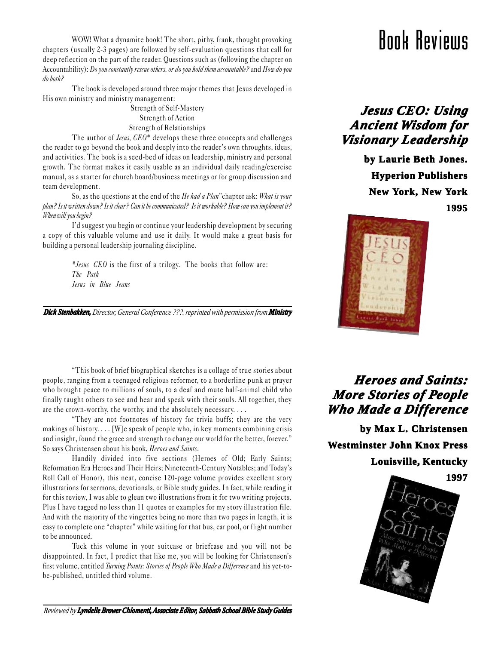WOW! What a dynamite book! The short, pithy, frank, thought provoking chapters (usually 2-3 pages) are followed by self-evaluation questions that call for deep reflection on the part of the reader. Questions such as (following the chapter on Accountability): Do you constantly rescue others, or do you hold them accountable? and How do you do both?

The book is developed around three major themes that Jesus developed in His own ministry and ministry management:

> Strength of Self-Mastery Strength of Action Strength of Relationships

The author of Jesus, CEO\* develops these three concepts and challenges the reader to go beyond the book and deeply into the reader's own throughts, ideas, and activities. The book is a seed-bed of ideas on leadership, ministry and personal growth. The format makes it easily usable as an individual daily reading/exercise manual, as a starter for church board/business meetings or for group discussion and team development.

So, as the questions at the end of the He had a Plan" chapter ask: What is your plan? Is it written down? Is it clear? Can it be communicated? Is it workable? How can you implement it? When will you begin?

Id suggest you begin or continue your leadership development by securing a copy of this valuable volume and use it daily. It would make a great basis for building a personal leadership journaling discipline.

> $*Jesus$  CEO is the first of a trilogy. The books that follow are: The Path Jesus in Blue Jeans

*Dick Stenbakken, Director, General Conference ???. reprinted with permission from Ministry*

This book of brief biographical sketches is a collage of true stories about people, ranging from a teenaged religious reformer, to a borderline punk at prayer who brought peace to millions of souls, to a deaf and mute half-animal child who finally taught others to see and hear and speak with their souls. All together, they are the crown-worthy, the worthy, and the absolutely necessary. . . .

They are not footnotes of history for trivia buffs; they are the very makings of history. . . . [W]e speak of people who, in key moments combining crisis and insight, found the grace and strength to change our world for the better, forever. So says Christensen about his book, Heroes and Saints.

Handily divided into five sections (Heroes of Old; Early Saints; Reformation Era Heroes and Their Heirs; Nineteenth-Century Notables; and Today's Roll Call of Honor), this neat, concise 120-page volume provides excellent story illustrations for sermons, devotionals, or Bible study guides. In fact, while reading it for this review, I was able to glean two illustrations from it for two writing projects. Plus I have tagged no less than 11 quotes or examples for my story illustration file. And with the majority of the vingettes being no more than two pages in length, it is easy to complete one "chapter" while waiting for that bus, car pool, or flight number to be announced.

Tuck this volume in your suitcase or briefcase and you will not be disappointed. In fact, I predict that like me, you will be looking for Christensen's first volume, entitled Turning Points: Stories of People Who Made a Difference and his yet-tobe-published, untitled third volume.

*Reviewed by Lyndelle Brower Chiomenti, er Chiomenti,Associate Editor, Sabbath School Bible Study Guides*

## Book Reviews

### *Jesus CEO: esus CEO:Using Ancient Ancient Wisdom f isdom for Visionar isionary Leader y Leadership*

 **by Laurie Beth Jones. Beth Jones. Hyperion Publishers Hyperion Publishers New York, New York 1995**



*Heroes and Saints: Heroes and Saints: More Stories of People Who Made a Difference Who* 

**by Max L. Christensen Westminster John Knox Press**

**Louisville, Kentucky**